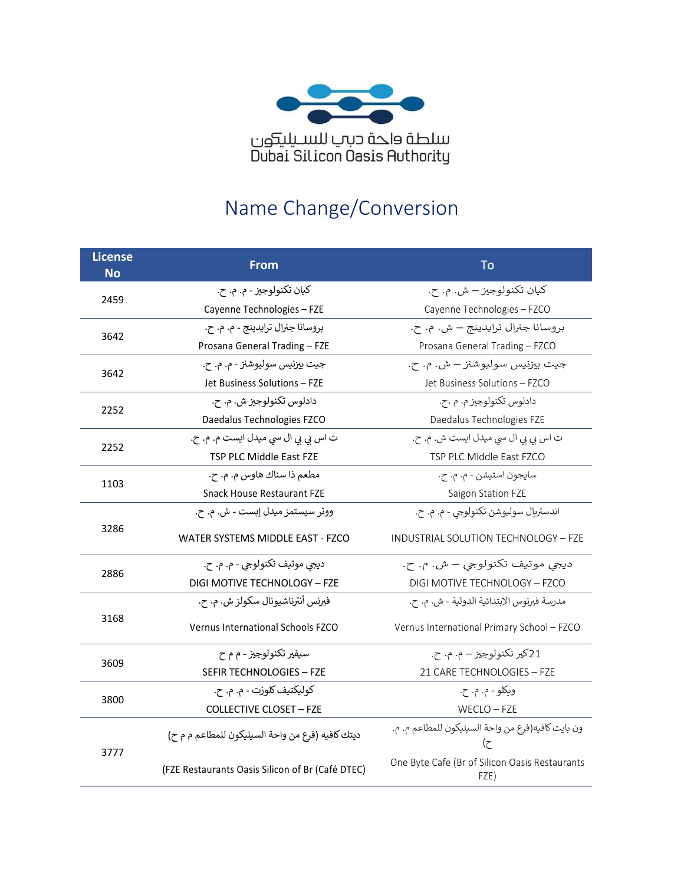

# Name Change/Conversion

| <b>License</b><br><b>No</b> | From                                             | To                                                      |
|-----------------------------|--------------------------------------------------|---------------------------------------------------------|
| 2459                        | کيان تکنولوجيز - م. م. ح.                        | كيان تكنولوجيز – ش. م. ح.                               |
|                             | Cayenne Technologies - FZE                       | Cayenne Technologies - FZCO                             |
| 3642                        | بروسانا جنرال ترايدينج - م. م. ح.                | بروسانا جنرال ترايدينج – ش. م. ح.                       |
|                             | Prosana General Trading - FZE                    | Prosana General Trading - FZCO                          |
| 3642                        | جيت بيزنيس سوليوشنز - م. م. ح.                   | جيت بيزنيس سوليوشنز – ش. م. ح.                          |
|                             | Jet Business Solutions - FZE                     | Jet Business Solutions - FZCO                           |
| 2252                        | دادلوس تکنولوجيز ش. م. ح.                        | دادلوس تکنولوجيز م. م .ح.                               |
|                             | Daedalus Technologies FZCO                       | Daedalus Technologies FZE                               |
| 2252                        | ت اس بی بی ال سی میدل ایست م. م. ح.              | ت اس بي بي ال سي ميدل ايست ش. م. ح.                     |
|                             | TSP PLC Middle East FZE                          | TSP PLC Middle East FZCO                                |
| 1103                        | مطعم ذا سناك هاوس م. م. ح.                       | سايجون استيشن - م. م. ح.                                |
|                             | Snack House Restaurant FZE                       | Saigon Station FZE                                      |
|                             | ووتر سيستمز ميدل إبست - ش. م. ح.                 | اندستريال سوليوشن تكنولوجي - م. م. ح.                   |
| 3286                        | WATER SYSTEMS MIDDLE EAST - FZCO                 | INDUSTRIAL SOLUTION TECHNOLOGY - FZE                    |
| 2886                        | ديجي موتيف تكنولوجي - م. م. ح.                   | ديجي موتيف تكنولوجي – ش. م. ح.                          |
|                             | DIGI MOTIVE TECHNOLOGY - FZE                     | DIGI MOTIVE TECHNOLOGY - FZCO                           |
|                             | فيرنس أنترناشيونال سكولز ش. م. ح.                | مدرسة فيرنوس الابتدائية الدولية - ش. م. ح.              |
| 3168                        | <b>Vernus International Schools FZCO</b>         | Vernus International Primary School - FZCO              |
|                             | سيفير تکنولوجيز - م م ح                          | 21کیر تکنولوجیز – م. م. ح.                              |
| 3609                        | SEFIR TECHNOLOGIES - FZE                         | 21 CARE TECHNOLOGIES - FZE                              |
|                             | كوليكتيف كلوزت - م. م. ح.                        | وبكلو - م. م. ح.                                        |
| 3800                        | <b>COLLECTIVE CLOSET - FZE</b>                   | $WECLO - FZE$                                           |
| 3777                        | ديتك كافيه (فرع من واحة السيليكون للمطاعم م م ح) | ون بايت كافيه(فرع من واحة السيليكون للمطاعم م. م.<br>ح) |
|                             | (FZE Restaurants Oasis Silicon of Br (Café DTEC) | One Byte Cafe (Br of Silicon Oasis Restaurants<br>FZE)  |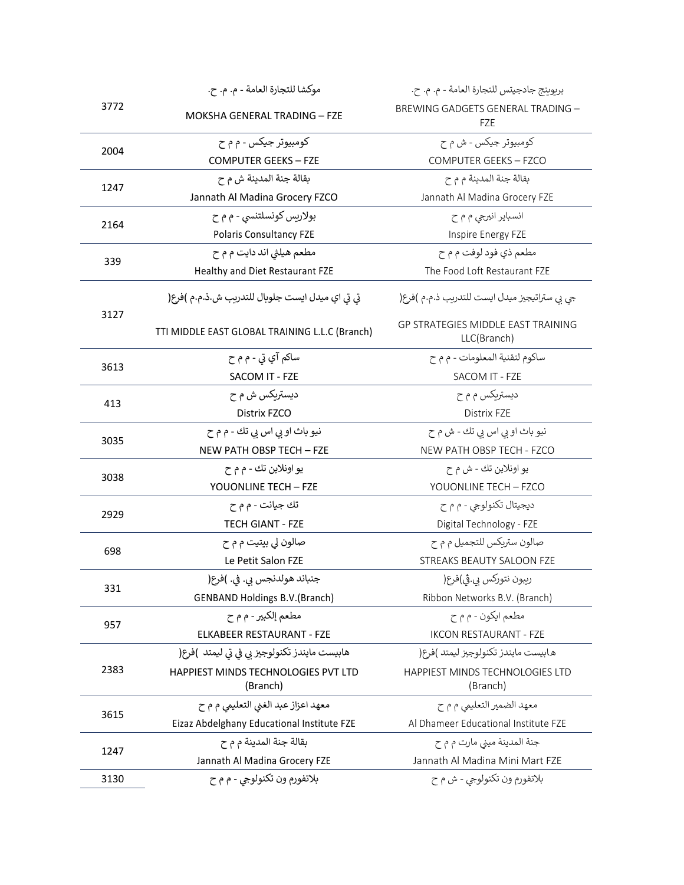|      | موكشا للتجارة العامة - م. م. ح.                 | بربوبنج جادجيتس للتجارة العامة - م. م. ح.                |
|------|-------------------------------------------------|----------------------------------------------------------|
| 3772 | MOKSHA GENERAL TRADING - FZE                    | BREWING GADGETS GENERAL TRADING -<br>FZE                 |
|      | کومبيوتر جيکس - م م ح                           | کومبيوتر جيکس - ش م ح                                    |
| 2004 | <b>COMPUTER GEEKS - FZE</b>                     | COMPUTER GEEKS - FZCO                                    |
|      | بقالة جنة المدينة ش م ح                         | بقالة جنة المدينة م م ح                                  |
| 1247 | Jannath Al Madina Grocery FZCO                  | Jannath Al Madina Grocery FZE                            |
|      | بولاريس كونسلتنسي - م م ح                       | انسبایر انیرجی م م ح                                     |
| 2164 | <b>Polaris Consultancy FZE</b>                  | Inspire Energy FZE                                       |
|      | مطعم هيلثي اند دايت م م ح                       | مطعم ذي فود لوفت م م ح                                   |
| 339  | Healthy and Diet Restaurant FZE                 | The Food Loft Restaurant FZE                             |
| 3127 | تي تي اي ميدل ايست جلوبال للتدريب ش.ذ.م.م )فرع( | جي بي ستراتيجيز ميدل ايست للتدريب ذ.م.م )فرع(            |
|      | TTI MIDDLE EAST GLOBAL TRAINING L.L.C (Branch)  | <b>GP STRATEGIES MIDDLE EAST TRAINING</b><br>LLC(Branch) |
| 3613 | ساکم آي تي - م م ح                              | ساكوم لتقنية المعلومات - م م ح                           |
|      | SACOM IT - FZE                                  | SACOM IT - FZE                                           |
| 413  | ديستربكس ش م ح                                  | دیستریکس م م ح                                           |
|      | Distrix FZCO                                    | Distrix FZE                                              |
| 3035 | نيو باث او بي اس بي تك - م م ح                  | نيو باث او بي اس بي تك - ش م ح                           |
|      | NEW PATH OBSP TECH - FZE                        | NEW PATH OBSP TECH - FZCO                                |
| 3038 | يو اونلاين تك - م م ح                           | يو اونلاين تك - ش م ح                                    |
|      | YOUONLINE TECH - FZE                            | YOUONLINE TECH - FZCO                                    |
| 2929 | تك جيانت - م م ح                                | ديجيتال تکنولوجي - م م ح                                 |
|      | <b>TECH GIANT - FZE</b>                         | Digital Technology - FZE                                 |
| 698  | صالون لي بيتيت م م ح                            | صالون ستربكس للتجميل م م ح                               |
|      | Le Petit Salon FZE                              | STREAKS BEAUTY SALOON FZE                                |
| 331  | جنباند هولدنجس بي. في. )فرع(                    | رببون نتوركس بي.ڤي)فرع(                                  |
|      | <b>GENBAND Holdings B.V. (Branch)</b>           | Ribbon Networks B.V. (Branch)                            |
| 957  | مطعم إلكبير - م م ح                             | مطعم ايكون - م م ح                                       |
|      | ELKABEER RESTAURANT - FZE                       | <b>IKCON RESTAURANT - FZE</b>                            |
|      | هابيست مايندز تكنولوجيز بي في تي ليمتد )فرع(    | هـابيست مايندز تكنولوجيز ليمتد )فرع(                     |
| 2383 | HAPPIEST MINDS TECHNOLOGIES PVT LTD<br>(Branch) | <b>HAPPIEST MINDS TECHNOLOGIES LTD</b><br>(Branch)       |
|      | معهد اعزاز عبد الغني التعليمي م م ح             | معهد الضمير التعليمي م م ح                               |
| 3615 | Eizaz Abdelghany Educational Institute FZE      | Al Dhameer Educational Institute FZE                     |
|      | بقالة جنة المدينة م م ح                         | جنة المدينة ميني مارت م م ح                              |
| 1247 | Jannath Al Madina Grocery FZE                   | Jannath Al Madina Mini Mart FZE                          |
| 3130 | بلاتفورم ون تكنولوجي - م م ح                    | بلاتفورم ون تكنولوجي - ش م ح                             |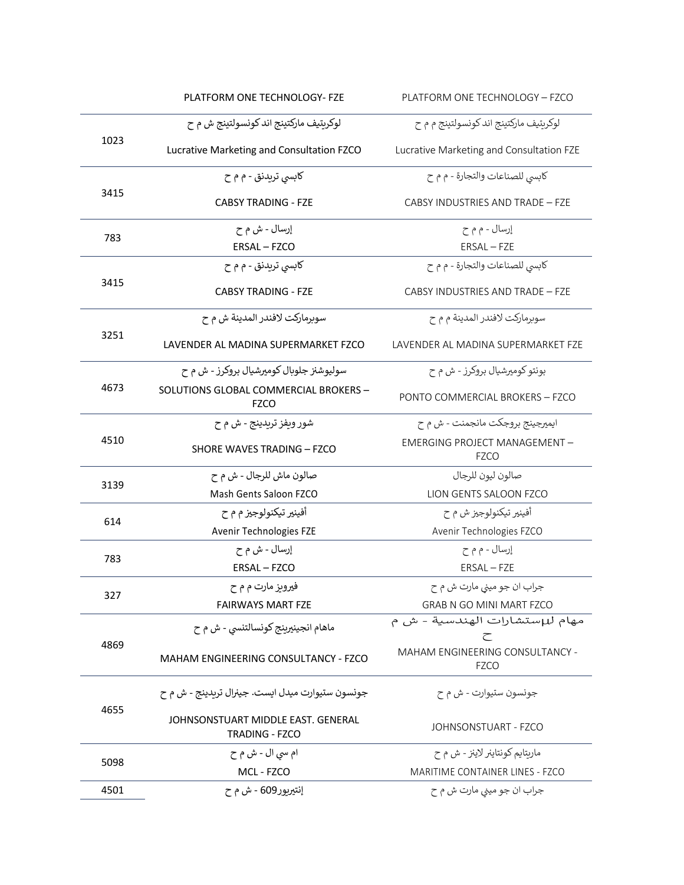|      | PLATFORM ONE TECHNOLOGY- FZE                         | PLATFORM ONE TECHNOLOGY - FZCO                           |
|------|------------------------------------------------------|----------------------------------------------------------|
|      | لوکرېتيف مارکتينج اند کونسولتينج ش م ح               | لوکريتيف مارکتينج اند کونسولتينج م م ح                   |
| 1023 | Lucrative Marketing and Consultation FZCO            | Lucrative Marketing and Consultation FZE                 |
|      | کابسی تریدنق - م م ح                                 | كابسي للصناعات والتجارة - م م ح                          |
| 3415 | <b>CABSY TRADING - FZE</b>                           | CABSY INDUSTRIES AND TRADE - FZE                         |
| 783  | إرسال - ش م ح                                        | إرسال - م م ح                                            |
|      | ERSAL - FZCO                                         | ERSAL - FZE                                              |
|      | کابسی تریدنق - م م ح                                 | كابسي للصناعات والتجارة - م م ح                          |
| 3415 | <b>CABSY TRADING - FZE</b>                           | CABSY INDUSTRIES AND TRADE - FZE                         |
|      | سويرماركت لافندر المدينة ش م ح                       | سوبرماركت لافندر المدينة م م ح                           |
| 3251 | LAVENDER AL MADINA SUPERMARKET FZCO                  | LAVENDER AL MADINA SUPERMARKET FZE                       |
|      | سوليوشنز جلوبال کوميرشيال بروکرز - ش م ح             | بونتو کومیرشیال بروکرز - ش م ح                           |
| 4673 | SOLUTIONS GLOBAL COMMERCIAL BROKERS -<br>FZCO        | PONTO COMMERCIAL BROKERS - FZCO                          |
|      | شور ويفز تريدينج - ش م ح                             | ايميرجينج بروجكت مانجمنت - ش م ح                         |
| 4510 | SHORE WAVES TRADING - FZCO                           | <b>EMERGING PROJECT MANAGEMENT -</b><br><b>FZCO</b>      |
|      | صالون ماش للرجال - ش م ح                             | صالون ليون للرجال                                        |
| 3139 | Mash Gents Saloon FZCO                               | LION GENTS SALOON FZCO                                   |
|      | أفينير تيكنولوجيز م م ح                              | أفينير تيكنولوجيز ش م ح                                  |
| 614  | Avenir Technologies FZE                              | Avenir Technologies FZCO                                 |
| 783  | إرسال - ش م ح                                        | إرسال - م م ح                                            |
|      | ERSAL - FZCO                                         | ERSAL - FZE                                              |
| 327  | فيرويز مارت م م ح                                    | جراب ان جو ميني مارت ش م ح                               |
|      | <b>FAIRWAYS MART FZE</b>                             | GRAB N GO MINI MART FZCO                                 |
|      | ماهام انجينيرينج كونسالتنسي - ش م ح                  | مهام لل <sub>ا</sub> ستشارات الهندسية - ش م<br>$\subset$ |
| 4869 | MAHAM ENGINEERING CONSULTANCY - FZCO                 | MAHAM ENGINEERING CONSULTANCY -<br><b>FZCO</b>           |
|      | جونسون ستيوارت ميدل ايست. جينرال تريدينج - ش م ح     | جونسون ستيوارت - ش م ح                                   |
| 4655 | JOHNSONSTUART MIDDLE EAST. GENERAL<br>TRADING - FZCO | JOHNSONSTUART - FZCO                                     |
| 5098 | ام سی ال - ش م ح                                     | ماريتايم كونتاينر لاينز - ش م ح                          |
|      | MCL - FZCO                                           | MARITIME CONTAINER LINES - FZCO                          |
| 4501 | إنتيرپور609 - ش م ح                                  | جراب ان جو ميني مارت ش م ح                               |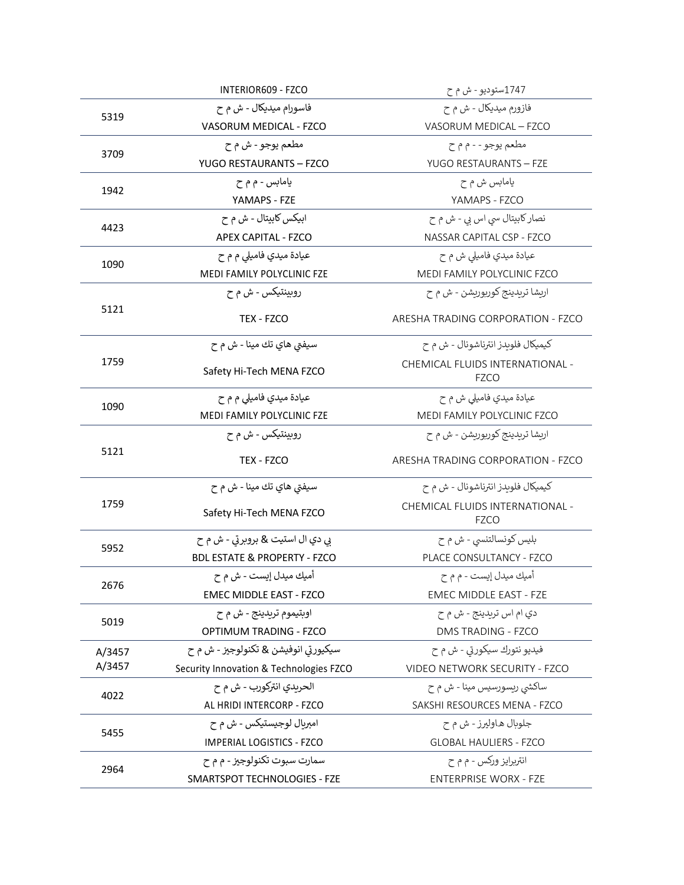|        | INTERIOR609 - FZCO                      | 1747ستوديو - ش م ح                             |
|--------|-----------------------------------------|------------------------------------------------|
|        | فاسورام ميديكال - ش م ح                 | فازورم ميديكال - ش م ح                         |
| 5319   | VASORUM MEDICAL - FZCO                  | VASORUM MEDICAL - FZCO                         |
|        | مطعم يوجو - ش م ح                       | مطعم يوجو - - م م ح                            |
| 3709   | YUGO RESTAURANTS - FZCO                 | YUGO RESTAURANTS - FZE                         |
|        | يامابس - م م ح                          | يامابس ش م ح                                   |
| 1942   | YAMAPS - FZE                            | YAMAPS - FZCO                                  |
| 4423   | ابيکس کابيتال - ش م ح                   | نصار کابیتال سی اس بی - ش م ح                  |
|        | <b>APEX CAPITAL - FZCO</b>              | NASSAR CAPITAL CSP - FZCO                      |
|        | عيادة ميدي فاميلي م م ح                 | عيادة ميدي فاميلي ش م ح                        |
| 1090   | MEDI FAMILY POLYCLINIC FZE              | MEDI FAMILY POLYCLINIC FZCO                    |
|        | روبينتيكس - ش م ح                       | اربشا تريدينج كورپوريشن - ش م ح                |
| 5121   | TEX - FZCO                              | ARESHA TRADING CORPORATION - FZCO              |
|        | سيفتي هاي تك مينا - ش م ح               | کیمیکال فلوبدز انترناشونال - ش م ح             |
| 1759   | Safety Hi-Tech MENA FZCO                | CHEMICAL FLUIDS INTERNATIONAL -<br><b>FZCO</b> |
|        | عیادة میدي فامیلی م م ح                 | عیادۃ میدي فامیلی ش م ح                        |
| 1090   | MEDI FAMILY POLYCLINIC FZE              | MEDI FAMILY POLYCLINIC FZCO                    |
|        | روبينتيكس - ش م ح                       | اريشا تريدينج كورپوريشن - ش م ح                |
| 5121   | TEX - FZCO                              | ARESHA TRADING CORPORATION - FZCO              |
|        | سيفتي هاي تك مينا - ش م ح               | کیمیکال فلویدز انترناشونال - ش م ح             |
| 1759   | Safety Hi-Tech MENA FZCO                | CHEMICAL FLUIDS INTERNATIONAL -<br><b>FZCO</b> |
|        | بي دي ال استيت & بروبرتي - ش م ح        | بليس كونسالتنسي - ش م ح                        |
| 5952   | <b>BDL ESTATE &amp; PROPERTY - FZCO</b> | PLACE CONSULTANCY - FZCO                       |
|        | أميك ميدل إيست - ش م ح                  | أميك ميدل إيست - م م ح                         |
| 2676   | EMEC MIDDLE EAST - FZCO                 | EMEC MIDDLE EAST - FZE                         |
|        | اوبتيموم تريدينج - ش م ح                | دي ام اس تريدينج - ش م ح                       |
| 5019   | OPTIMUM TRADING - FZCO                  | DMS TRADING - FZCO                             |
| A/3457 | سيکيورتي انوفيشن & تکنولوجيز - ش م ح    | فيديو نتورك سيكورتي - ش م ح                    |
| A/3457 | Security Innovation & Technologies FZCO | VIDEO NETWORK SECURITY - FZCO                  |
| 4022   | الحربدي انتركورب - ش م ح                | ساکشي ريسورسيس مينا - ش م ح                    |
|        | AL HRIDI INTERCORP - FZCO               | SAKSHI RESOURCES MENA - FZCO                   |
|        | امبربال لوجيستيكس - ش م ح               | جلوبال هاوليرز - ش م ح                         |
| 5455   | <b>IMPERIAL LOGISTICS - FZCO</b>        | <b>GLOBAL HAULIERS - FZCO</b>                  |
|        | سمارت سبوت تکنولوجيز - م م ح            | انتریرایز ورکس - م م ح                         |
| 2964   | SMARTSPOT TECHNOLOGIES - FZE            | <b>ENTERPRISE WORX - FZE</b>                   |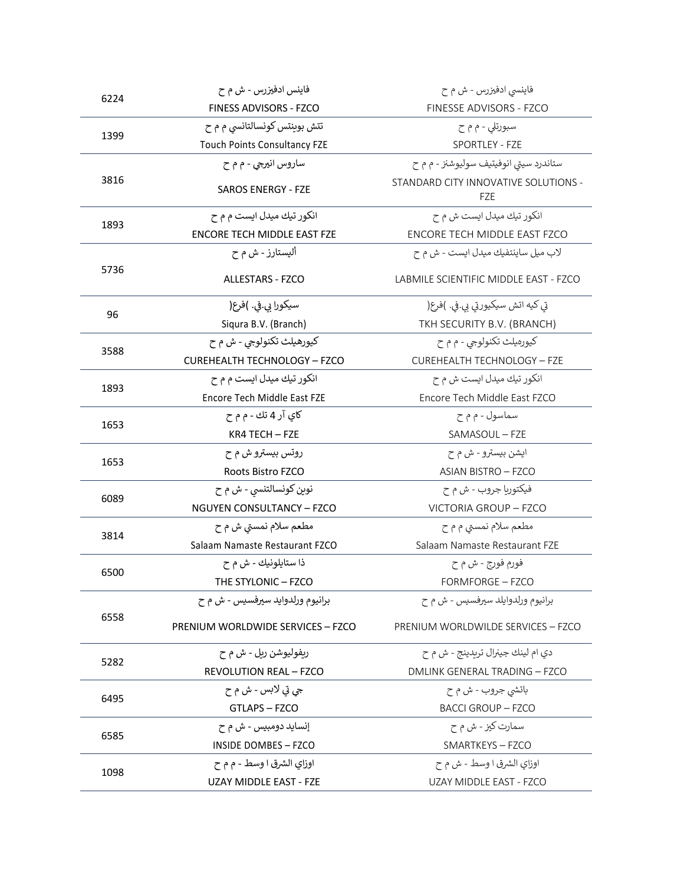| 6224 | فاينس ادفيزرس - ش م ح               | فاینسی ادفیزرس - ش م ح                             |
|------|-------------------------------------|----------------------------------------------------|
|      | FINESS ADVISORS - FZCO              | FINESSE ADVISORS - FZCO                            |
| 1399 | تتش بوینتس کونسالتانسی م م ح        | سبورتلی - م م ح                                    |
|      | <b>Touch Points Consultancy FZE</b> | SPORTLEY - FZE                                     |
|      | ساروس انيرجي - م م ح                | ستاندرد سيتي انوفيتيف سوليوشنز - م م ح             |
| 3816 | <b>SAROS ENERGY - FZE</b>           | STANDARD CITY INNOVATIVE SOLUTIONS -<br><b>FZE</b> |
| 1893 | انکور تیك میدل ایست م م ح           | انکور تیك میدل ایست ش م ح                          |
|      | <b>ENCORE TECH MIDDLE EAST FZE</b>  | ENCORE TECH MIDDLE EAST FZCO                       |
|      | آلیستارز - ش م ح                    | لاب ميل ساينتفيك ميدل ايست - ش م ح                 |
| 5736 | <b>ALLESTARS - FZCO</b>             | LABMILE SCIENTIFIC MIDDLE EAST - FZCO              |
|      | سيكورا بي.في. )فرع(                 | تي كيه اتش سيكيورتي بي.في. )فرع(                   |
| 96   | Siqura B.V. (Branch)                | TKH SECURITY B.V. (BRANCH)                         |
|      | کيورهيلث تکنولوجي - ش م ح           | کيورهيلث تکنولوجي - م م ح                          |
| 3588 | <b>CUREHEALTH TECHNOLOGY - FZCO</b> | <b>CUREHEALTH TECHNOLOGY - FZE</b>                 |
|      | انکور تیك میدل ایست م م ح           | انکور تیك میدل ایست ش م ح                          |
| 1893 | Encore Tech Middle East FZE         | Encore Tech Middle East FZCO                       |
|      | کاي آر 4 تك - م م ح                 | سماسول - م م ح                                     |
| 1653 | KR4 TECH - FZE                      | SAMASOUL - FZE                                     |
| 1653 | روتس بیسترو ش م ح                   | ايشن بيسترو - ش م ح                                |
|      | Roots Bistro FZCO                   | <b>ASIAN BISTRO - FZCO</b>                         |
| 6089 | نوين كونسالتنسي - ش م ح             | فيكتوريا جروب - ش م ح                              |
|      | <b>NGUYEN CONSULTANCY - FZCO</b>    | VICTORIA GROUP - FZCO                              |
| 3814 | مطعم سلام نمستی ش م ح               | مطعم سلام نمستی م م ح                              |
|      | Salaam Namaste Restaurant FZCO      | Salaam Namaste Restaurant FZE                      |
| 6500 | ذا ستايلونيك - ش م ح                | فورم فورج - ش م ح                                  |
|      | THE STYLONIC - FZCO                 | FORMFORGE - FZCO                                   |
|      | برانيوم ورلدوايد سيرفسيس - ش م ح    | برانيوم ورلدوايلد سيرفسيس - ش م ح                  |
| 6558 | PRENIUM WORLDWIDE SERVICES - FZCO   | PRENIUM WORLDWILDE SERVICES - FZCO                 |
|      | ريفوليوشن ريل - ش م ح               | دی ام لینك جینرال تریدینج - ش م ح                  |
| 5282 | <b>REVOLUTION REAL - FZCO</b>       | DMLINK GENERAL TRADING - FZCO                      |
|      | جي تي لابس - ش م ح                  | باتشي جروب - ش م ح                                 |
| 6495 | GTLAPS - FZCO                       | <b>BACCI GROUP - FZCO</b>                          |
|      | إنسايد دومبيس - ش م ح               | سمارت کیز - ش م ح                                  |
| 6585 | <b>INSIDE DOMBES - FZCO</b>         | SMARTKEYS - FZCO                                   |
| 1098 | اوزاي الشرق ا وسط - م م ح           | اوزاي الشرق ا وسط - ش م ح                          |
|      | UZAY MIDDLE EAST - FZE              | UZAY MIDDLE EAST - FZCO                            |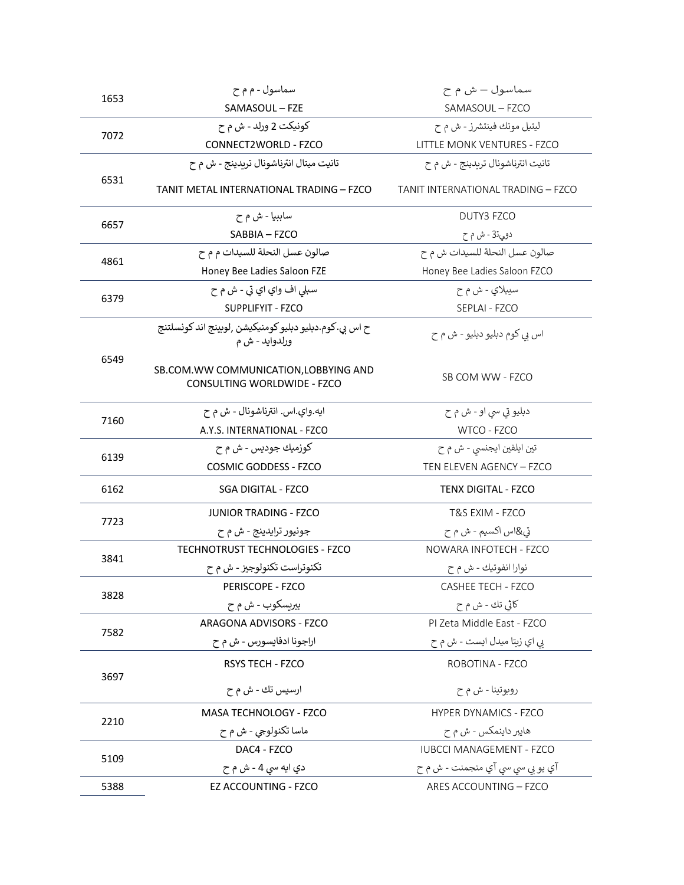| 1653 | سماسول - م م ح                                                            | سماسول – ش م ح                     |
|------|---------------------------------------------------------------------------|------------------------------------|
|      | SAMASOUL - FZE                                                            | SAMASOUL - FZCO                    |
| 7072 | کونيکت 2 ورلد - ش م ح                                                     | ليتيل مونك فينتشرز - ش م ح         |
|      | CONNECT2WORLD - FZCO                                                      | LITTLE MONK VENTURES - FZCO        |
|      | تانيت ميتال انترناشونال تريدينج - ش م ح                                   | تانيت انترناشونال تريدينج - ش م ح  |
| 6531 | TANIT METAL INTERNATIONAL TRADING – FZCO                                  | TANIT INTERNATIONAL TRADING - FZCO |
|      | ساببيا - ش م ح                                                            | DUTY3 FZCO                         |
| 6657 | SABBIA - FZCO                                                             | دوي53 - ش م ح                      |
| 4861 | صالون عسل النحلة للسيدات م م ح                                            | صالون عسل النحلة للسيدات ش م ح     |
|      | Honey Bee Ladies Saloon FZE                                               | Honey Bee Ladies Saloon FZCO       |
| 6379 | سبلي اف واي اي تي - ش م ح                                                 | سيبلاي - ش م ح                     |
|      | SUPPLIFYIT - FZCO                                                         | SEPLAI - FZCO                      |
|      | ح اس بي. کوم.دبليو دبليو کومنيکيشن ,لوبينج اند کونسلتنج<br>ورلدوايد - ش م | اس بي کوم دبليو دبليو - ش م ح      |
| 6549 | SB.COM. WW COMMUNICATION, LOBBYING AND<br>CONSULTING WORLDWIDE - FZCO     | SB COM WW - FZCO                   |
|      | ايه.واي.اس. انترناشونال - ش م ح                                           | دبليو تي سي او - ش م ح             |
| 7160 | A.Y.S. INTERNATIONAL - FZCO                                               | WTCO - FZCO                        |
|      | کوزميك جوديس - ش م ح                                                      | تین ایلفین ایجنسی - ش م ح          |
| 6139 | <b>COSMIC GODDESS - FZCO</b>                                              | TEN ELEVEN AGENCY - FZCO           |
| 6162 | <b>SGA DIGITAL - FZCO</b>                                                 | <b>TENX DIGITAL - FZCO</b>         |
|      | <b>JUNIOR TRADING - FZCO</b>                                              | T&S EXIM - FZCO                    |
| 7723 | جونيور ترايدينج - ش م ح                                                   | تي&اس اکسيم - ش م ح                |
| 3841 | <b>TECHNOTRUST TECHNOLOGIES - FZCO</b>                                    | NOWARA INFOTECH - FZCO             |
|      | تکنوتراست تکنولوجیز - ش م ح                                               | نوارا انفوتيك - ش م ح              |
| 3828 | <b>PERISCOPE - FZCO</b>                                                   | CASHEE TECH - FZCO                 |
|      | بيريسكوب - ش م ح                                                          | کائي تك - ش م ح                    |
| 7582 | ARAGONA ADVISORS - FZCO                                                   | PI Zeta Middle East - FZCO         |
|      | اراجونا ادفايسورس - ش م ح                                                 | بي اي زيتا ميدل ايست - ش م ح       |
| 3697 | RSYS TECH - FZCO                                                          | ROBOTINA - FZCO                    |
|      | ارسيس تك - ش م ح                                                          | روبوتينا - ش م ح                   |
| 2210 | MASA TECHNOLOGY - FZCO                                                    | <b>HYPER DYNAMICS - FZCO</b>       |
|      | ماسا تکنولوجي - ش م ح                                                     | هایبر داینمکس - ش م ح              |
|      | DAC4 - FZCO                                                               | <b>IUBCCI MANAGEMENT - FZCO</b>    |
| 5109 | دي ايه سي 4 - ش م ح                                                       | آي يو بي سي سي آي منجمنت - ش م ح   |
| 5388 | EZ ACCOUNTING - FZCO                                                      | ARES ACCOUNTING - FZCO             |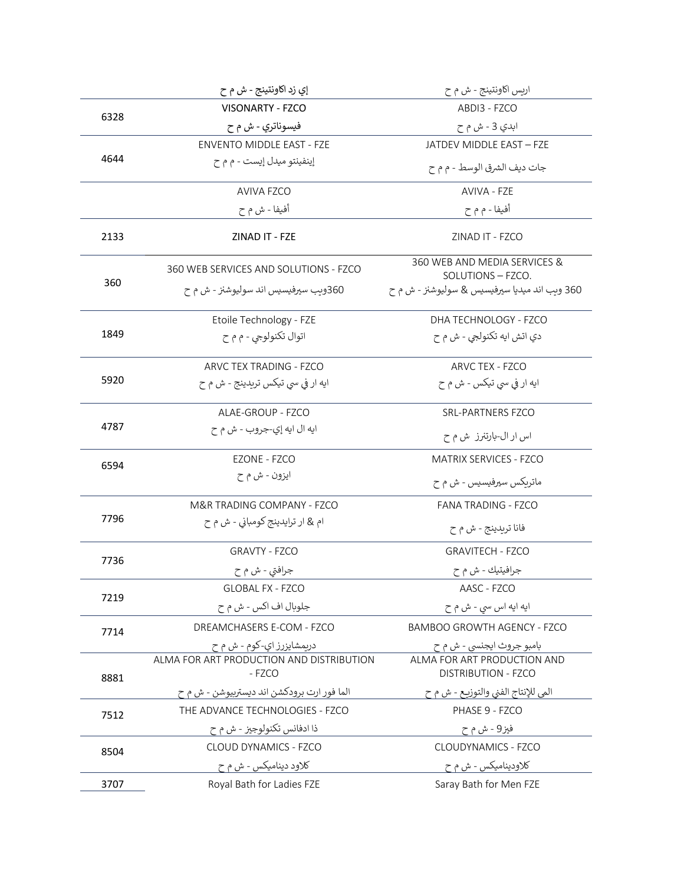|      | إي زد اكاونتينج - ش م ح                            | اريس اکاونتينج - ش م ح                                    |
|------|----------------------------------------------------|-----------------------------------------------------------|
| 6328 | <b>VISONARTY - FZCO</b>                            | ABDI3 - FZCO                                              |
|      | فيسوناتري - ش م ح                                  | ابدي 3 - ش م ح                                            |
|      | <b>ENVENTO MIDDLE EAST - FZE</b>                   | JATDEV MIDDLE EAST - FZE                                  |
| 4644 | إينفينتو ميدل إيست - م م ح                         | جات ديف الشرق الوسط - م م ح                               |
|      | <b>AVIVA FZCO</b>                                  | AVIVA - FZE                                               |
|      | أفيفا - ش م ح                                      | أفيفا - م م ح                                             |
| 2133 | ZINAD IT - FZE                                     | ZINAD IT - FZCO                                           |
|      | 360 WEB SERVICES AND SOLUTIONS - FZCO              | 360 WEB AND MEDIA SERVICES &<br>SOLUTIONS - FZCO.         |
| 360  | 360وىب سپرفيسيس اند سوليوشنز - ش م ح               | 360 وىب اند ميديا سيرفيسيس & سوليوشنز - ش م ح             |
|      | Etoile Technology - FZE                            | DHA TECHNOLOGY - FZCO                                     |
| 1849 | اتوال تکنولوجي - م م ح                             | دي اتش ايه تكنولجي - ش م ح                                |
|      | ARVC TEX TRADING - FZCO                            | ARVC TEX - FZCO                                           |
| 5920 | ایه ار فی سی تیکس تریدینج - ش م ح                  | ایه ار فی سی تیکس - ش م ح                                 |
|      | ALAE-GROUP - FZCO                                  | <b>SRL-PARTNERS FZCO</b>                                  |
| 4787 | ايه ال ايه إي-جروب - ش م ح                         | اس ار ال-بارتنرز  ش م ح                                   |
| 6594 | EZONE - FZCO                                       | MATRIX SERVICES - FZCO                                    |
|      | ايزون - ش م ح                                      | ماتریکس سیرفیسیس - ش م ح                                  |
|      | M&R TRADING COMPANY - FZCO                         | <b>FANA TRADING - FZCO</b>                                |
| 7796 | ام & ار ترايدينج كومباني - ش م ح                   | فانا تريدينج - ش م ح                                      |
|      | <b>GRAVTY - FZCO</b>                               | <b>GRAVITECH - FZCO</b>                                   |
| 7736 | جرافتي - ش م ح                                     | جرافيتيك - ش م ح                                          |
| 7219 | <b>GLOBAL FX - FZCO</b>                            | AASC - FZCO                                               |
|      | جلوبال اف اکس - ش م ح                              | ايه ايه اس سي - ش م ح                                     |
| 7714 | DREAMCHASERS E-COM - FZCO                          | <b>BAMBOO GROWTH AGENCY - FZCO</b>                        |
|      | دريمشايزرز اي-کوم - ش م ح                          | بامبو جروث ايجنسي - ش م ح                                 |
| 8881 | ALMA FOR ART PRODUCTION AND DISTRIBUTION<br>- FZCO | ALMA FOR ART PRODUCTION AND<br><b>DISTRIBUTION - FZCO</b> |
|      | الما فور ارت برودكشن اند ديستربيوشن - ش م ح        | المي للإنتاج الفني والتوزيع - ش م ح                       |
| 7512 | THE ADVANCE TECHNOLOGIES - FZCO                    | PHASE 9 - FZCO                                            |
|      | ذا ادفانس تكنولوجيز - ش م ح                        | فيز9 - ش م ح                                              |
| 8504 | CLOUD DYNAMICS - FZCO                              | CLOUDYNAMICS - FZCO                                       |
|      | کلاود دینامیکس - ش م ح                             | کلاودینامیکس - ش م ح                                      |
| 3707 | Royal Bath for Ladies FZE                          | Saray Bath for Men FZE                                    |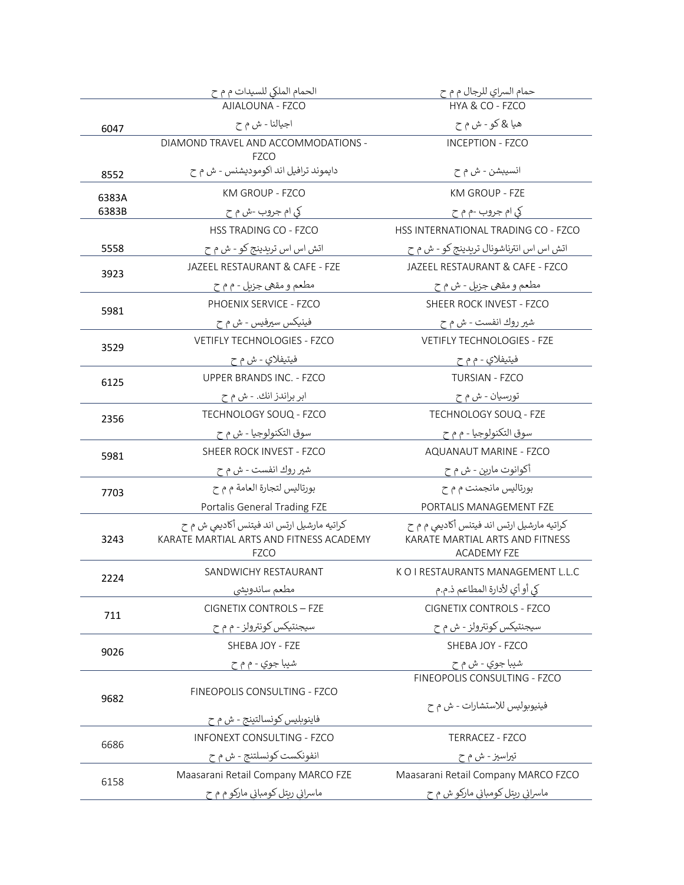|       | الحمام الملكي للسيدات م م ح                                                                          | حمام السراي للرجال م م ح                                                                            |
|-------|------------------------------------------------------------------------------------------------------|-----------------------------------------------------------------------------------------------------|
|       | AJIALOUNA - FZCO                                                                                     | HYA & CO - FZCO                                                                                     |
| 6047  | اجيالنا - ش م ح                                                                                      | هيا & کو - ش م ح                                                                                    |
|       | DIAMOND TRAVEL AND ACCOMMODATIONS -<br><b>FZCO</b>                                                   | <b>INCEPTION - FZCO</b>                                                                             |
| 8552  | دايموند ترافيل اند اكوموديشنس - ش م ح                                                                | انسيبشن - ش م ح                                                                                     |
| 6383A | KM GROUP - FZCO                                                                                      | <b>KM GROUP - FZE</b>                                                                               |
| 6383B | کي ام جروب -ش م ح                                                                                    | کي ام جروب -م م ح                                                                                   |
|       | HSS TRADING CO - FZCO                                                                                | HSS INTERNATIONAL TRADING CO - FZCO                                                                 |
| 5558  | اتش اس اس تریدینج کو - ش م ح                                                                         | اتش اس اس انترناشونال تريدينج كو - ش م ح                                                            |
| 3923  | JAZEEL RESTAURANT & CAFE - FZE                                                                       | JAZEEL RESTAURANT & CAFE - FZCO                                                                     |
|       | مطعم و مقهي جزيل - م م ح                                                                             | مطعم و مقهي جزيل - ش م ح                                                                            |
| 5981  | PHOENIX SERVICE - FZCO                                                                               | SHEER ROCK INVEST - FZCO                                                                            |
|       | فينيكس سيرفيس - ش م ح                                                                                | شير روك انفست - ش م ح                                                                               |
| 3529  | <b>VETIFLY TECHNOLOGIES - FZCO</b>                                                                   | <b>VETIFLY TECHNOLOGIES - FZE</b>                                                                   |
|       | فيتيفلاي - ش م ح                                                                                     | فيتيفلاي - م م ح                                                                                    |
| 6125  | <b>UPPER BRANDS INC. - FZCO</b>                                                                      | <b>TURSIAN - FZCO</b>                                                                               |
|       | ابر براندز انك. - ش م ح                                                                              | تورسيان - ش م ح                                                                                     |
| 2356  | TECHNOLOGY SOUQ - FZCO                                                                               | TECHNOLOGY SOUQ - FZE                                                                               |
|       | سوق التكنولوجيا - ش م ح                                                                              | سوق التكنولوجيا - م م ح                                                                             |
| 5981  | SHEER ROCK INVEST - FZCO                                                                             | AQUANAUT MARINE - FZCO                                                                              |
|       | شير روك انفست - ش م ح                                                                                | أكوانوت مارين - ش م ح                                                                               |
| 7703  | بورتاليس لتجارة العامة م م ح                                                                         | بورتاليس مانجمنت م م ح                                                                              |
|       | Portalis General Trading FZE                                                                         | PORTALIS MANAGEMENT FZE                                                                             |
| 3243  | کراتیه مارشیل ارتس اند فیتنس أکادیمی ش م ح<br>KARATE MARTIAL ARTS AND FITNESS ACADEMY<br><b>FZCO</b> | کراتیه مارشیل ارتس اند فیتنس أكادیمی م م ح<br>KARATE MARTIAL ARTS AND FITNESS<br><b>ACADEMY FZE</b> |
| 2224  | SANDWICHY RESTAURANT                                                                                 | K O I RESTAURANTS MANAGEMENT L.L.C                                                                  |
|       | مطعم ساندويشي                                                                                        | كي أو أي لأدارة المطاعم ذ.م.م                                                                       |
| 711   | <b>CIGNETIX CONTROLS - FZE</b>                                                                       | <b>CIGNETIX CONTROLS - FZCO</b>                                                                     |
|       | سیجنتیکس کونترولز - م م ح                                                                            | سيجنتيكس كونترولز - ش م ح                                                                           |
| 9026  | SHEBA JOY - FZE                                                                                      | SHEBA JOY - FZCO                                                                                    |
|       | شيبا جوي - م م ح                                                                                     | شيبا جوي - ش م ح                                                                                    |
|       | FINEOPOLIS CONSULTING - FZCO                                                                         | FINEOPOLIS CONSULTING - FZCO                                                                        |
| 9682  |                                                                                                      | فينيوبوليس للاستشارات - ش م ح                                                                       |
|       | فاينوبليس كونسالتينج - ش م ح                                                                         |                                                                                                     |
| 6686  | <b>INFONEXT CONSULTING - FZCO</b>                                                                    | TERRACEZ - FZCO                                                                                     |
|       | انفونکست کونسلتنج - ش م ح                                                                            | تيراسيز - ش م ح                                                                                     |
| 6158  | Maasarani Retail Company MARCO FZE                                                                   | Maasarani Retail Company MARCO FZCO                                                                 |
|       | ماسراني ريتل کومباني مارکو م م ح                                                                     | ماسرانی ریتل کومبانی مارکو ش م ح                                                                    |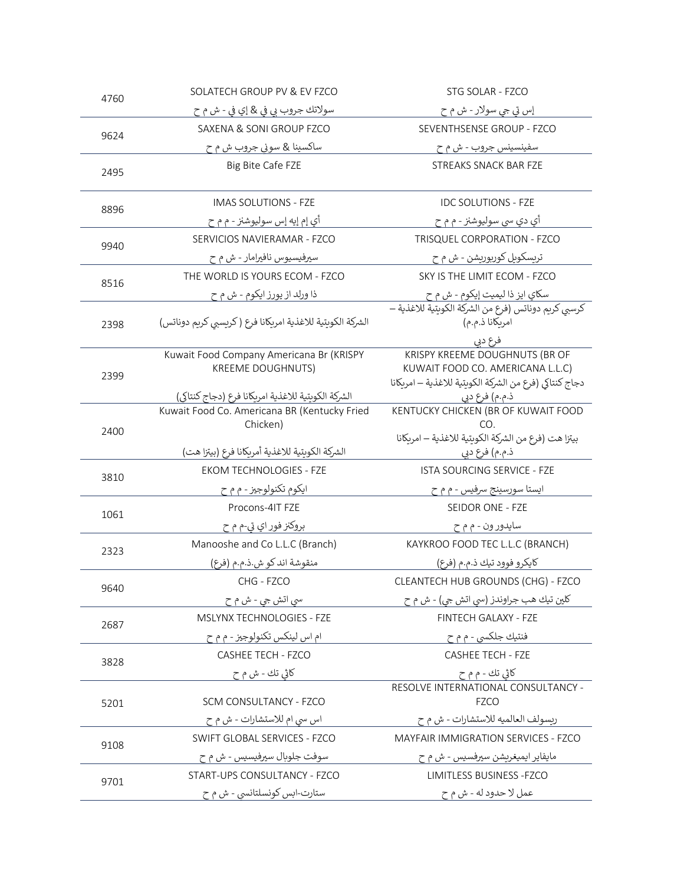| 4760 | SOLATECH GROUP PV & EV FZCO                                          | STG SOLAR - FZCO                                                                                                                        |
|------|----------------------------------------------------------------------|-----------------------------------------------------------------------------------------------------------------------------------------|
|      | سولاتك جروب بي في & إي في - ش م ح                                    | إس تي جي سولار - ش م ح                                                                                                                  |
| 9624 | SAXENA & SONI GROUP FZCO                                             | SEVENTHSENSE GROUP - FZCO                                                                                                               |
|      | ساکسينا & سوني جروب ش م ح                                            | سفينسينس جروب - ش م ح                                                                                                                   |
| 2495 | Big Bite Cafe FZE                                                    | <b>STREAKS SNACK BAR FZE</b>                                                                                                            |
| 8896 | IMAS SOLUTIONS - FZE                                                 | <b>IDC SOLUTIONS - FZE</b>                                                                                                              |
|      | أي إم إيه إس سوليوشنز - م م ح                                        | أي دي سي سوليوشنز - م م ح                                                                                                               |
| 9940 | SERVICIOS NAVIERAMAR - FZCO                                          | TRISQUEL CORPORATION - FZCO                                                                                                             |
|      | سيرفيسيوس نافيرامار - ش م ح                                          | تريسكوبل كورپوريشن - ش م ح                                                                                                              |
| 8516 | THE WORLD IS YOURS ECOM - FZCO                                       | SKY IS THE LIMIT ECOM - FZCO                                                                                                            |
|      | ذا ورلد از يورز ايكوم - ش م ح                                        | سكاي ايز ذا ليميت إيكوم - ش م ح                                                                                                         |
| 2398 | الشركة الكويتية للاغذية امريكانا فرع (كريسبي كريم دوناتس)            | كرسبي كريم دوناتس (فرع من الشركة الكويتية للاغذية —<br>امريكانا ذ.م.م)                                                                  |
| 2399 | Kuwait Food Company Americana Br (KRISPY<br><b>KREEME DOUGHNUTS)</b> | فرع دبي<br>KRISPY KREEME DOUGHNUTS (BR OF<br>KUWAIT FOOD CO. AMERICANA L.L.C)<br>دجاج كنتاكي (فرع من الشركة الكويتية للاغذية – امريكانا |
|      | الشركة الكويتية للاغذية امريكانا فرع (دجاج كنتاكى)                   | ذ.م.م) فرع دبي                                                                                                                          |
| 2400 | Kuwait Food Co. Americana BR (Kentucky Fried<br>Chicken)             | KENTUCKY CHICKEN (BR OF KUWAIT FOOD<br>CO.<br>بيتزا هت (فرع من الشركة الكوبتية للاغذية – امربكانا                                       |
|      | الشركة الكويتية للاغذية أمريكانا فرع (بيتزا هت)                      | ذ.م.م) فرع دبي                                                                                                                          |
| 3810 | <b>EKOM TECHNOLOGIES - FZE</b>                                       | <b>ISTA SOURCING SERVICE - FZE</b>                                                                                                      |
|      | ایکوم تکنولوجیز - م م ح                                              | ايستا سورسينج سرفيس - م م ح                                                                                                             |
| 1061 | Procons-4IT FZE                                                      | SEIDOR ONE - FZE                                                                                                                        |
|      | بروکنز فور اي تي-م م ح                                               | سايدور ون - م م ح                                                                                                                       |
| 2323 | Manooshe and Co L.L.C (Branch)                                       | KAYKROO FOOD TEC L.L.C (BRANCH)                                                                                                         |
|      | منقوشة اند كو ش.ذ.م.م (فرع)                                          | كايكرو فوود تيك ذ.م.م (فرع)                                                                                                             |
| 9640 | CHG - FZCO                                                           | CLEANTECH HUB GROUNDS (CHG) - FZCO                                                                                                      |
|      | سي اتش جي - ش م ح                                                    | کلين تيك هب جراوندز (سي اتش جي) - ش م ح                                                                                                 |
| 2687 | MSLYNX TECHNOLOGIES - FZE                                            | FINTECH GALAXY - FZE                                                                                                                    |
|      | ام اس لينكس تكنولوجيز - م م ح                                        | فنتيك جلكسي - م م ح                                                                                                                     |
| 3828 | <b>CASHEE TECH - FZCO</b>                                            | <b>CASHEE TECH - FZE</b>                                                                                                                |
|      | کائی تك - ش م ح                                                      | کاڻي تك - م م ح                                                                                                                         |
| 5201 | SCM CONSULTANCY - FZCO                                               | RESOLVE INTERNATIONAL CONSULTANCY -<br><b>FZCO</b>                                                                                      |
|      | اس سي ام للاستشارات - ش م ح                                          | ريسولف العالميه للاستشارات - ش م ح                                                                                                      |
| 9108 | SWIFT GLOBAL SERVICES - FZCO                                         | MAYFAIR IMMIGRATION SERVICES - FZCO                                                                                                     |
|      | سوفت جلوبال سيرفيسيس - ش م ح                                         | مايفاير ايميغريشن سيرفسيس - ش م ح                                                                                                       |
| 9701 | START-UPS CONSULTANCY - FZCO                                         | LIMITLESS BUSINESS - FZCO                                                                                                               |
|      | ستارت-ابس کونسلتانسی - ش م ح                                         | عمل لا حدود له - ش م ح                                                                                                                  |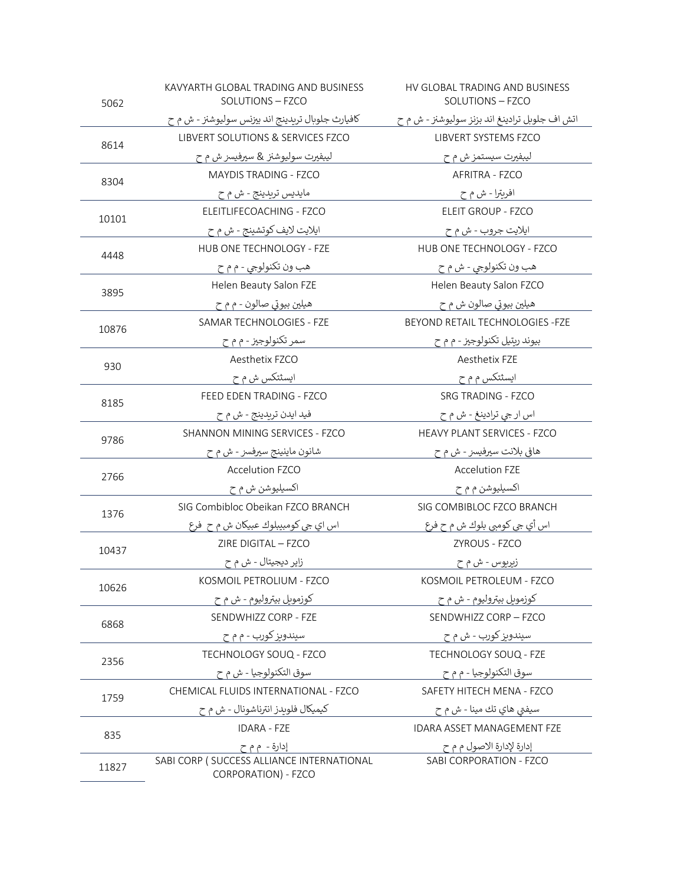| 5062  | KAVYARTH GLOBAL TRADING AND BUSINESS<br>SOLUTIONS - FZCO          | HV GLOBAL TRADING AND BUSINESS<br>SOLUTIONS - FZCO |
|-------|-------------------------------------------------------------------|----------------------------------------------------|
|       | كافيارث جلوبال تريدينج اند بيزنس سوليوشنز - ش م ح                 | اتش اف جلوبل ترادينغ اند بزنز سوليوشنز - ش م ح     |
| 8614  | LIBVERT SOLUTIONS & SERVICES FZCO                                 | LIBVERT SYSTEMS FZCO                               |
|       | ليبفيرت سوليوشنز & سيرفيسز ش م ح                                  | ليبفيرت سيستمز ش م ح                               |
| 8304  | <b>MAYDIS TRADING - FZCO</b>                                      | AFRITRA - FZCO                                     |
|       | مايديس تريدينج - ش م ح                                            | افريترا - ش م ح                                    |
| 10101 | ELEITLIFECOACHING - FZCO                                          | <b>ELEIT GROUP - FZCO</b>                          |
|       | ايلايت لايف كوتشينج - ش م ح                                       | ايلايت جروب - ش م ح                                |
| 4448  | HUB ONE TECHNOLOGY - FZE                                          | HUB ONE TECHNOLOGY - FZCO                          |
|       | هب ون تکنولوجي - م م ح                                            | هب ون تكنولوجي - ش م ح                             |
| 3895  | Helen Beauty Salon FZE                                            | Helen Beauty Salon FZCO                            |
|       | هيلين بيوتي صالون - م م ح                                         | هيلين بيوتي صالون ش م ح                            |
| 10876 | SAMAR TECHNOLOGIES - FZE                                          | BEYOND RETAIL TECHNOLOGIES - FZE                   |
|       | سمر تکنولوجیز - م م ح                                             | بيوند ريتيل تكنولوجيز - م م ح                      |
| 930   | Aesthetix FZCO                                                    | Aesthetix FZE                                      |
|       | ایسٹتکس ش م ح                                                     | ایسثتکس م م ح                                      |
| 8185  | FEED EDEN TRADING - FZCO                                          | <b>SRG TRADING - FZCO</b>                          |
|       | فيد ايدن تريدينج - ش م ح                                          | اس ار جي ترادينغ - ش م ح                           |
| 9786  | SHANNON MINING SERVICES - FZCO                                    | HEAVY PLANT SERVICES - FZCO                        |
|       | شانون ماينينج سيرفسز - ش م ح                                      | هافي بلانت سيرفيسز - ش م ح                         |
| 2766  | Accelution FZCO                                                   | <b>Accelution FZE</b>                              |
|       | اکسيليوشن ش م ح                                                   | اکسيليوشن م م ح                                    |
| 1376  | SIG Combibloc Obeikan FZCO BRANCH                                 | SIG COMBIBLOC FZCO BRANCH                          |
|       | اس اي جي کومبيبلوك عبيکان ش م ح ٍ فرع                             | اس أي جي كومبي بلوك ش م ح فرع                      |
| 10437 | ZIRE DIGITAL - FZCO                                               | ZYROUS - FZCO                                      |
|       | زایر دیجیتال - ش م ح                                              | زبريوس - ش م ح                                     |
| 10626 | KOSMOIL PETROLIUM - FZCO                                          | KOSMOIL PETROLEUM - FZCO                           |
|       | کوزمویل بیترولیوم - ش م ح                                         | کوزموبل بيتروليوم - ش م ح                          |
| 6868  | SENDWHIZZ CORP - FZE                                              | SENDWHIZZ CORP - FZCO                              |
|       | سيندوبز كورب - م م ح                                              | سيندويز کورب - ش م ح                               |
| 2356  | TECHNOLOGY SOUQ - FZCO                                            | TECHNOLOGY SOUQ - FZE                              |
|       | سوق التكنولوجيا - ش م ح                                           | سوق التكنولوجيا - م م ح                            |
| 1759  | CHEMICAL FLUIDS INTERNATIONAL - FZCO                              | SAFETY HITECH MENA - FZCO                          |
|       | کيميکال فلوبدز انترناشونال - ش م ح                                | سيفتي هاي تك مينا - ش م ح                          |
| 835   | <b>IDARA - FZE</b>                                                | IDARA ASSET MANAGEMENT FZE                         |
|       | إدارة -  م م ح                                                    | إدارة لإدارة الاصول م م ح                          |
| 11827 | SABI CORP ( SUCCESS ALLIANCE INTERNATIONAL<br>CORPORATION) - FZCO | SABI CORPORATION - FZCO                            |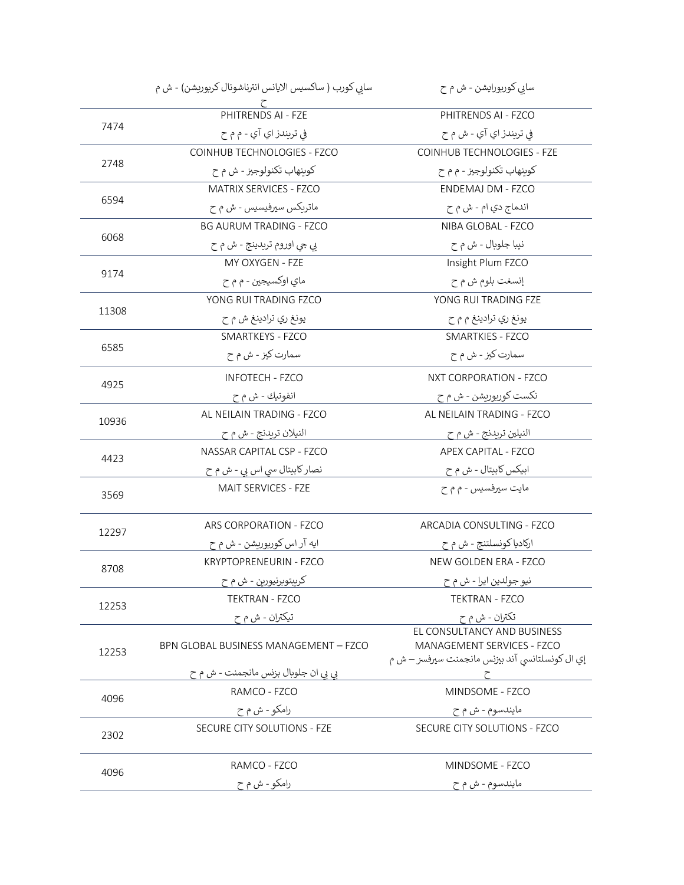|       | سابي كورب ( ساكسيس الايانس انترناشونال كربوريشن) - ش م | سابي کوربورايشن - ش م ح                                                                                      |
|-------|--------------------------------------------------------|--------------------------------------------------------------------------------------------------------------|
|       | PHITRENDS AI - FZE                                     | PHITRENDS AI - FZCO                                                                                          |
| 7474  | في تريندز اي آي - م م ح                                | في تريندز اي آي - ش م ح                                                                                      |
|       | COINHUB TECHNOLOGIES - FZCO                            | COINHUB TECHNOLOGIES - FZE                                                                                   |
| 2748  | کوينهاب تکنولوجيز - ش م ح                              | کوينهاب تکنولوجيز - م م ح                                                                                    |
|       | MATRIX SERVICES - FZCO                                 | ENDEMAJ DM - FZCO                                                                                            |
| 6594  | ماتریکس سیرفیسیس - ش م ح                               | اندماج دي ام - ش م ح                                                                                         |
|       | <b>BG AURUM TRADING - FZCO</b>                         | NIBA GLOBAL - FZCO                                                                                           |
| 6068  | بي جي اوروم تريدينج - ش م ح                            | نيبا جلوبال - ش م ح                                                                                          |
|       | MY OXYGEN - FZE                                        | Insight Plum FZCO                                                                                            |
| 9174  | ماي اوکسيجين - م م ح                                   | إنسغت بلوم ش م ح                                                                                             |
|       | YONG RUI TRADING FZCO                                  | YONG RUI TRADING FZE                                                                                         |
| 11308 | يونغ ري ترادينغ ش م ح                                  | يونغ ري ترادينغ م م ح                                                                                        |
|       | SMARTKEYS - FZCO                                       | <b>SMARTKIES - FZCO</b>                                                                                      |
| 6585  | سمارت کیز - ش م ح                                      | سمارت کیز - ش م ح                                                                                            |
| 4925  | <b>INFOTECH - FZCO</b>                                 | NXT CORPORATION - FZCO                                                                                       |
|       | انفوتيك - ش م ح                                        | نکست کوربوريشن - ش م ح                                                                                       |
| 10936 | AL NEILAIN TRADING - FZCO                              | AL NEILAIN TRADING - FZCO                                                                                    |
|       | النيلان تريدنج - ش م ح                                 | النيلين تري <i>د</i> نج - ش م ح                                                                              |
| 4423  | NASSAR CAPITAL CSP - FZCO                              | APEX CAPITAL - FZCO                                                                                          |
|       | نصار کابیتال سی اس بی - ش م ح                          | ابیکس کابیتال - ش م ح                                                                                        |
| 3569  | MAIT SERVICES - FZE                                    | مايت سيرفسيس - م م ح                                                                                         |
| 12297 | ARS CORPORATION - FZCO                                 | ARCADIA CONSULTING - FZCO                                                                                    |
|       | ایه آر اس کوربوریشن - ش م ح                            | ارکادیا کونسلتنج - ش م ح                                                                                     |
| 8708  | <b>KRYPTOPRENEURIN - FZCO</b>                          | NEW GOLDEN ERA - FZCO                                                                                        |
|       | <u> کريېتوبرنيورين - ش م ح</u>                         | نيو جولدي <u>ن ايرا</u> - ش م ح                                                                              |
| 12253 | TEKTRAN - FZCO                                         | <b>TEKTRAN - FZCO</b>                                                                                        |
|       | تيكتران - ش م ح                                        | تكتران - ش م ح                                                                                               |
| 12253 | BPN GLOBAL BUSINESS MANAGEMENT - FZCO                  | EL CONSULTANCY AND BUSINESS<br>MANAGEMENT SERVICES - FZCO<br>إي ال كونسلتانسي آند بيزنس مانجمنت سيرفسز – ش م |
|       | بي بي ان جلوبال بزنس مانجمنت - ش م ح                   |                                                                                                              |
| 4096  | RAMCO - FZCO                                           | MINDSOME - FZCO                                                                                              |
|       | رامکو - ش م ح                                          | مايندسوم - ش م ح                                                                                             |
| 2302  | SECURE CITY SOLUTIONS - FZE                            | SECURE CITY SOLUTIONS - FZCO                                                                                 |
|       | RAMCO - FZCO                                           | MINDSOME - FZCO                                                                                              |
| 4096  | رامکو - ش م ح                                          | مايندسوم - ش م ح                                                                                             |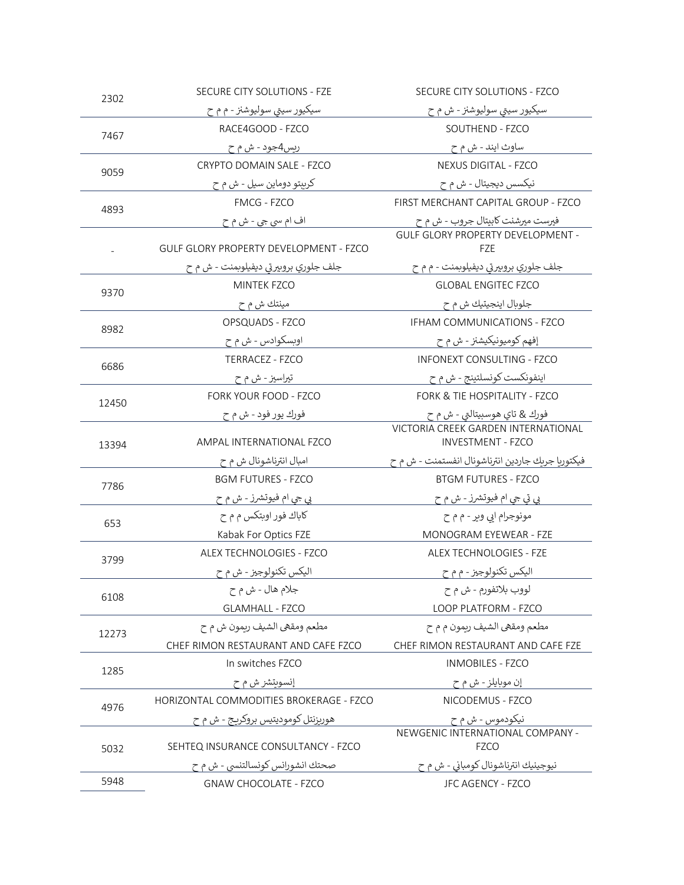| 2302  | SECURE CITY SOLUTIONS - FZE             | SECURE CITY SOLUTIONS - FZCO                      |
|-------|-----------------------------------------|---------------------------------------------------|
|       | سيکيور سيتي سوليوشنز - م م ح            | سيکيور سيني سوليوشنز - ش م ح                      |
| 7467  | RACE4GOOD - FZCO                        | SOUTHEND - FZCO                                   |
|       | ريس4جود - ش م ح                         | ساوث ايند - ش م ح                                 |
| 9059  | CRYPTO DOMAIN SALE - FZCO               | NEXUS DIGITAL - FZCO                              |
|       | کريېتو دوماين سيل - ش م ح               | نیکسس دیجیتال - ش م ح                             |
| 4893  | FMCG - FZCO                             | FIRST MERCHANT CAPITAL GROUP - FZCO               |
|       | اف ام سي جي - ش م ح                     | فيرست ميرشنت كابيتال جروب - ش م ح                 |
|       |                                         | <b>GULF GLORY PROPERTY DEVELOPMENT -</b>          |
|       | GULF GLORY PROPERTY DEVELOPMENT - FZCO  | <b>FZE</b>                                        |
|       | جلف جلوري بروبيرتي ديفيلوبمنت - ش م ح   | جلف جلوري بروبيرتي ديفيلوبمنت - م م ح             |
| 9370  | <b>MINTEK FZCO</b>                      | <b>GLOBAL ENGITEC FZCO</b>                        |
|       | مينتك ش م ح                             | جلوبال اينجيتيك ش م ح                             |
| 8982  | OPSQUADS - FZCO                         | IFHAM COMMUNICATIONS - FZCO                       |
|       | اوبسکوادس - ش م ح                       | إفهم كوميونيكيشنز - ش م ح                         |
| 6686  | TERRACEZ - FZCO                         | <b>INFONEXT CONSULTING - FZCO</b>                 |
|       | تيراسيز - ش م ح                         | اينفونكست كونسلتينج - ش م ح                       |
| 12450 | FORK YOUR FOOD - FZCO                   | <b>FORK &amp; TIE HOSPITALITY - FZCO</b>          |
|       | فور <u>ك يور فو</u> د - ش م ح           | فورك & تاي هوسبيتالتي - ش م ح                     |
|       |                                         | VICTORIA CREEK GARDEN INTERNATIONAL               |
| 13394 | AMPAL INTERNATIONAL FZCO                | <b>INVESTMENT - FZCO</b>                          |
|       | امبال انترناشونال ش م ح                 | فيكتوريا جريك جاردين انترناشونال انفستمنت - ش م ح |
| 7786  | <b>BGM FUTURES - FZCO</b>               | <b>BTGM FUTURES - FZCO</b>                        |
|       | بي جي ام فيوتشرز - ش م ح                | بي تي جي ام فيوتشرز - ش م ح                       |
| 653   | کاباك فور اوبتكس م م ح                  | مونوجرام ايي وير - م م ح                          |
|       | Kabak For Optics FZE                    | MONOGRAM EYEWEAR - FZE                            |
| 3799  | ALEX TECHNOLOGIES - FZCO                | <b>ALEX TECHNOLOGIES - FZE</b>                    |
|       | اليکس تکنولوجيز - ش م ح                 | اليکس تکنولوجيز - م م ح                           |
| 6108  | جلام هال - ش م ح                        | لووب بلاتفورم - ش م ح                             |
|       | <b>GLAMHALL - FZCO</b>                  | LOOP PLATFORM - FZCO                              |
| 12273 | مطعم ومقهى الشيف ريمون ش م ح            | مطعم ومقهي الشيف ريمون م م ح                      |
|       | CHEF RIMON RESTAURANT AND CAFE FZCO     | CHEF RIMON RESTAURANT AND CAFE FZE                |
| 1285  | In switches FZCO                        | <b>INMOBILES - FZCO</b>                           |
|       | إنسويتشر ش م ح                          | إن موبايلز - ش م ح                                |
|       | HORIZONTAL COMMODITIES BROKERAGE - FZCO | NICODEMUS - FZCO                                  |
| 4976  | هوريزنتل کوموديتيس بروکريج - ش م ح      | <u>نيکودموس - ش م ح</u>                           |
|       |                                         | NEWGENIC INTERNATIONAL COMPANY -                  |
| 5032  | SEHTEQ INSURANCE CONSULTANCY - FZCO     | <b>FZCO</b>                                       |
|       | صحتك انشورانس كونسالتنسي - ش م ح        | نيوجينيك انترناشونال كومباني - ش م ح              |
| 5948  | <b>GNAW CHOCOLATE - FZCO</b>            | JFC AGENCY - FZCO                                 |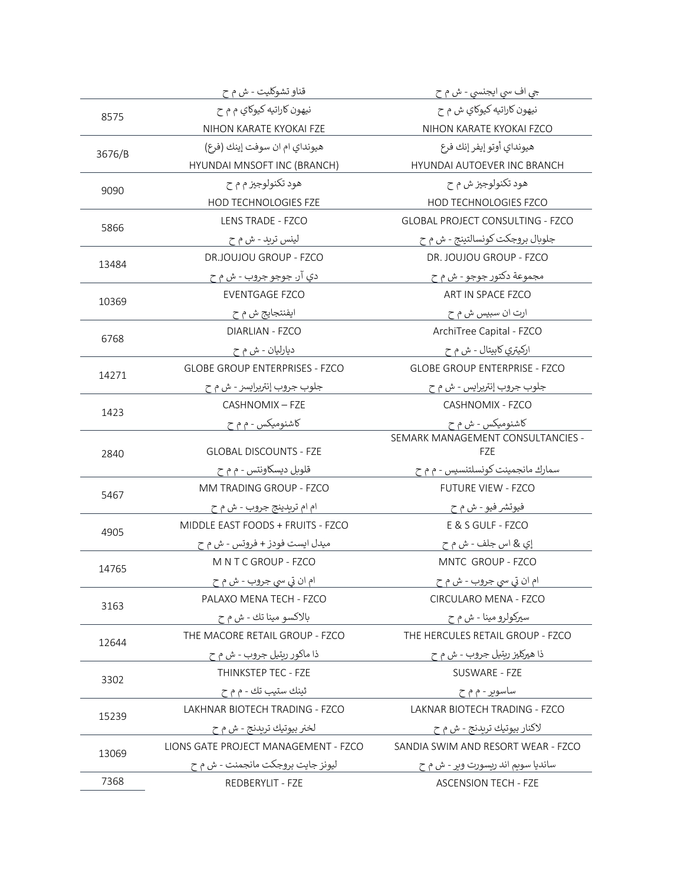|        | قناو تشوکلیت - ش م ح                  | جي اف سي ايجنسي - ش م ح                  |
|--------|---------------------------------------|------------------------------------------|
| 8575   | نيهون کاراتيه کيوکاي م م ح            | نيهون کاراتيه کيوکاي ش م ح               |
|        | NIHON KARATE KYOKAI FZE               | NIHON KARATE KYOKAI FZCO                 |
| 3676/B | هيونداي ام ان سوفت إينك (فرع)         | هيونداي أوتو إيفر إنك فرع                |
|        | HYUNDAI MNSOFT INC (BRANCH)           | HYUNDAI AUTOEVER INC BRANCH              |
| 9090   | هود تکنولوجیز م م ح                   | هود تکنولوجیز ش م ح                      |
|        | HOD TECHNOLOGIES FZE                  | HOD TECHNOLOGIES FZCO                    |
| 5866   | LENS TRADE - FZCO                     | <b>GLOBAL PROJECT CONSULTING - FZCO</b>  |
|        | لينس تريد - ش م ح                     | جلوبال بروجکت کونسالتينج - ش م ح         |
| 13484  | DR.JOUJOU GROUP - FZCO                | DR. JOUJOU GROUP - FZCO                  |
|        | دي آر. جوجو جروب - ش م ح              | مجموعة دكتور جوجو - ش م ح                |
| 10369  | <b>EVENTGAGE FZCO</b>                 | ART IN SPACE FZCO                        |
|        | ايفنتجايج ش م ح                       | ارت ان سبيس ش م ح                        |
|        | <b>DIARLIAN - FZCO</b>                | ArchiTree Capital - FZCO                 |
| 6768   | ديارليان - ش م ح                      | ارکيتري کابيتال - ش م ح                  |
| 14271  | <b>GLOBE GROUP ENTERPRISES - FZCO</b> | <b>GLOBE GROUP ENTERPRISE - FZCO</b>     |
|        | جلوب جروب إنتريرايسز - ش م ح          | جلوب جروب إنتريرايس - ش م ح              |
|        | CASHNOMIX - FZE                       | CASHNOMIX - FZCO                         |
| 1423   | کاشنومیکس - م م ح                     | کاشنومیکس - ش م ح                        |
| 2840   | <b>GLOBAL DISCOUNTS - FZE</b>         | SEMARK MANAGEMENT CONSULTANCIES -<br>FZE |
|        | قلوبل ديسكاونتس - م م ح               | سمارك مانجمينت كونسلتنسيس - م م ح        |
|        | MM TRADING GROUP - FZCO               | <b>FUTURE VIEW - FZCO</b>                |
| 5467   | ام ام تریدینج جروب - ش م ح            | فيوتشر فيو - ش م ح                       |
|        | MIDDLE EAST FOODS + FRUITS - FZCO     | E & S GULF - FZCO                        |
| 4905   | ميدل ايست فودز + فروتس - ش م ح        | إي & اس جلف - ش م ح                      |
|        | MNTCGROUP - FZCO                      | MNTC GROUP - FZCO                        |
| 14765  | ام ان تي سي جروب - ش م ح              | ام ان تي سي جروب - ش م ح                 |
|        | PALAXO MENA TECH - FZCO               | CIRCULARO MENA - FZCO                    |
| 3163   | بالاکسو مينا تك - ش م ح               | سيرکولرو مينا - ش م ح                    |
|        | THE MACORE RETAIL GROUP - FZCO        | THE HERCULES RETAIL GROUP - FZCO         |
| 12644  | ذا ماکور ریتیل جروب - ش م ح           | ذا ھيرکليز ريتيل جروب - <u>ش</u> م ح     |
|        | THINKSTEP TEC - FZE                   | SUSWARE - FZE                            |
| 3302   | ثينك ستيب تك - م م ح                  | ساسویر - م م ح                           |
|        | LAKHNAR BIOTECH TRADING - FZCO        | LAKNAR BIOTECH TRADING - FZCO            |
| 15239  | لخنر بيوتيك تريدنج - ش م ح            | لاکنار بيوتيك تريدنج - ش م ح             |
|        | LIONS GATE PROJECT MANAGEMENT - FZCO  | SANDIA SWIM AND RESORT WEAR - FZCO       |
| 13069  | ليونز جايت بروجكت مانجمنت - ش م ح     | سانديا سويم اند ريسورت وير - ش م ح       |
| 7368   | REDBERYLIT - FZE                      | <b>ASCENSION TECH - FZE</b>              |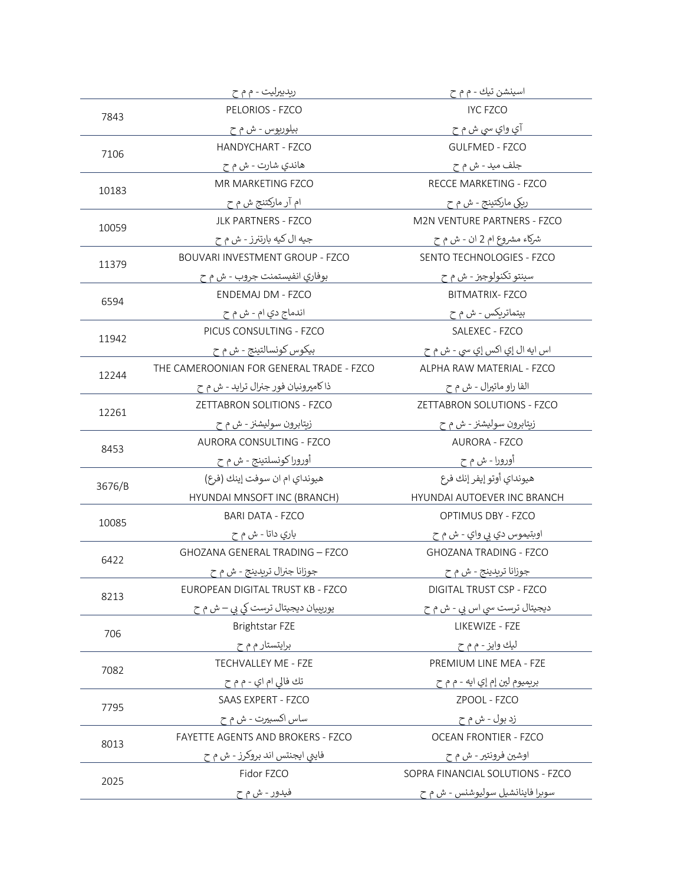|        | ریدبیرلیت - م م ح                        | اسينشن تيك - م م ح                 |
|--------|------------------------------------------|------------------------------------|
| 7843   | PELORIOS - FZCO                          | <b>IYC FZCO</b>                    |
|        | بيلوريوس - ش م ح                         | آي واي سي ش م ح                    |
| 7106   | HANDYCHART - FZCO                        | <b>GULFMED - FZCO</b>              |
|        | هاندي شارت - ش م ح                       | جلف مید - ش م ح                    |
| 10183  | MR MARKETING FZCO                        | RECCE MARKETING - FZCO             |
|        | ام آر ماركتنج ش م ح                      | ريکي مارکتينج - ش م ح              |
| 10059  | <b>JLK PARTNERS - FZCO</b>               | <b>M2N VENTURE PARTNERS - FZCO</b> |
|        | جيه ال كيه بارتنرز - ش م ح               | شرکاء مشروع ام 2 ان - ش م ح        |
| 11379  | BOUVARI INVESTMENT GROUP - FZCO          | SENTO TECHNOLOGIES - FZCO          |
|        | بوفاري انفيستمنت جروب - ش م ح            | سينتو تکنولوجيز - ش م ح            |
| 6594   | <b>ENDEMAJ DM - FZCO</b>                 | <b>BITMATRIX-FZCO</b>              |
|        | اندماج دي ام - ش م ح                     | بیتماتریکس - ش م ح                 |
| 11942  | PICUS CONSULTING - FZCO                  | SALEXEC - FZCO                     |
|        | بيكوس كونسالتينج - ش م ح                 | اس ايه ال إي اکس إي سي - ش م ح     |
| 12244  | THE CAMEROONIAN FOR GENERAL TRADE - FZCO | ALPHA RAW MATERIAL - FZCO          |
|        | ذا كاميرونيان فور جنرال ترايد - ش م ح    | الفا راو ماتيرال - ش م ح           |
| 12261  | ZETTABRON SOLITIONS - FZCO               | ZETTABRON SOLUTIONS - FZCO         |
|        | زيتابرون سوليشنز - ش م ح                 | زبتابرون سوليشنز - ش م ح           |
| 8453   | AURORA CONSULTING - FZCO                 | <b>AURORA - FZCO</b>               |
|        | أورورا كونسلتينج - ش م ح                 | أورورا - ش م ح                     |
| 3676/B | هيونداي ام ان سوفت إينك (فرع)            | هيونداي أوتو إيفر إنك فرع          |
|        | HYUNDAI MNSOFT INC (BRANCH)              | HYUNDAI AUTOEVER INC BRANCH        |
| 10085  | <b>BARI DATA - FZCO</b>                  | OPTIMUS DBY - FZCO                 |
|        | باري داتا - ش م ح                        | اوبتيموس دي بي واي - ش م ح         |
| 6422   | <b>GHOZANA GENERAL TRADING - FZCO</b>    | <b>GHOZANA TRADING - FZCO</b>      |
|        | جوزانا جنرال تريدينج - ش م ح             | جوزانا تريدينج - ش م ح             |
| 8213   | EUROPEAN DIGITAL TRUST KB - FZCO         | DIGITAL TRUST CSP - FZCO           |
|        | یوربیبان دیجیتال ترست کی بی – ش م ح      | دیجیتال ترست سی اس بی - ش م ح      |
| 706    | Brightstar FZE                           | LIKEWIZE - FZE                     |
|        | برایتستار م م ح                          | ليك وايز - م م ح                   |
| 7082   | TECHVALLEY ME - FZE                      | PREMIUM LINE MEA - FZE             |
|        | تك فالي ام اي - م م ح                    | بريميوم لين إم إي ايه - م م ح      |
| 7795   | SAAS EXPERT - FZCO                       | ZPOOL - FZCO                       |
|        | ساس اکسبیرت - ش م ح                      | زد بول - ش م ح                     |
| 8013   | FAYETTE AGENTS AND BROKERS - FZCO        | <b>OCEAN FRONTIER - FZCO</b>       |
|        | فایتی ایجنتس اند بروکرز - ش م ح          | اوشين فرونتير - ش م ح              |
| 2025   | Fidor FZCO                               | SOPRA FINANCIAL SOLUTIONS - FZCO   |
|        | فيدور - ش م ح                            | سوبرا فاينانشيل سوليوشنس - ش م ح   |
|        |                                          |                                    |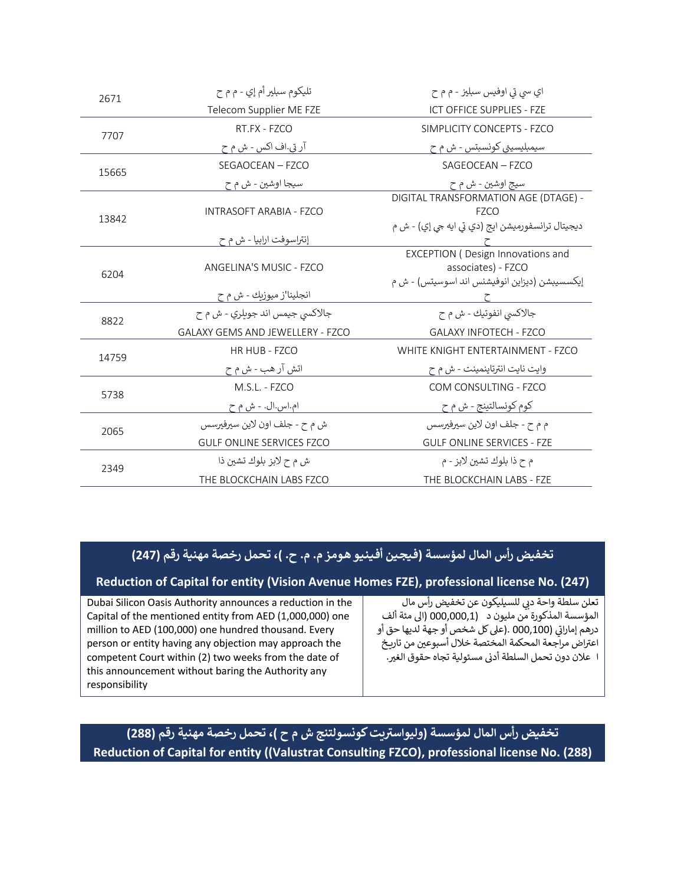| 2671  | تليکوم سبلير أم إي - م م ح       | اي سي تي اوفيس سبليز - م م ح                                                                                    |
|-------|----------------------------------|-----------------------------------------------------------------------------------------------------------------|
|       | Telecom Supplier ME FZE          | ICT OFFICE SUPPLIES - FZE                                                                                       |
| 7707  | RT.FX - FZCO                     | SIMPLICITY CONCEPTS - FZCO                                                                                      |
|       | آر تي.اف اکس - ش م ح             | سيمبليسيتي كونسبتس - ش م ح                                                                                      |
| 15665 | SEGAOCEAN - FZCO                 | SAGEOCEAN - FZCO                                                                                                |
|       | سيجا اوشين - ش م ح               | سيج اوشين - ش م ح                                                                                               |
| 13842 | INTRASOFT ARABIA - FZCO          | DIGITAL TRANSFORMATION AGE (DTAGE) -<br><b>FZCO</b><br>ديجيتال ترانسفورميشن ايج (دي تي ايه جي إي) - ش م         |
|       | إنتراسوفت ارابيا - ش م ح         |                                                                                                                 |
| 6204  | ANGELINA'S MUSIC - FZCO          | <b>EXCEPTION (Design Innovations and</b><br>associates) - FZCO<br>إيكسسيبشن (ديزاين انوفيشنس اند اسوسيتس) - ش م |
|       | انجلينا'ز ميوزيك - ش م ح         |                                                                                                                 |
|       | جالاکسي جيمس اند جويلري - ش م ح  | جالاكسي انفوتيك - ش م ح                                                                                         |
|       |                                  |                                                                                                                 |
| 8822  | GALAXY GEMS AND JEWELLERY - FZCO | <b>GALAXY INFOTECH - FZCO</b>                                                                                   |
|       | HR HUB - FZCO                    | WHITE KNIGHT ENTERTAINMENT - FZCO                                                                               |
| 14759 | اتش آر هب - ش م ح                | وايت نايت انترتاينمينت - ش م ح                                                                                  |
|       | M.S.L. - FZCO                    | COM CONSULTING - FZCO                                                                                           |
| 5738  | ام.اس.ال. - ش م ح                | کوم کونسالتينج - ش م ح                                                                                          |
|       | ش م ح - جلف اون لاين سيرفيرسس    | م م ح - جلف اون لاين سيرفيرسس                                                                                   |
| 2065  | <b>GULF ONLINE SERVICES FZCO</b> | <b>GULF ONLINE SERVICES - FZE</b>                                                                               |
| 2349  | ش م ح لابز بلوك تشين ذا          | م ح ذا بلوك تشين لابز - م                                                                                       |

## تخفيض رأس المال لمؤسسة (فيجين أفينيو هومز م. م. ح. )، تحمل رخصة مهنية رقم (247)

#### Reduction of Capital for entity (Vision Avenue Homes FZE), professional license No. (247)

Dubai Silicon Oasis Authority announces a reduction in the Capital of the mentioned entity from AED (1,000,000) one million to AED (100,000) one hundred thousand. Every person or entity having any objection may approach the competent Court within (2) two weeks from the date of this announcement without baring the Authority any responsibility

تعلن سلطة واحة دبي للسيليكون عن تخفيض رأس مال المؤسسة المذكورة من مليون د (000,000,01 (الى مئة ألف درهم إماراتي (000,100 .(على كل شخص أو جهة لديها حق أو اعتراض مراجعة المحكمة المختصة خلال أسبوعين من تاريخ ا علان دون تحمل السلطة أدنى مسئولية تجاه حقوق الغير.

## تخفيض رأس المال لمؤسسة (وليواستريت كونسولتنج ش م ح )، تحمل رخصة مهنية رقم (288) Reduction of Capital for entity ((Valustrat Consulting FZCO), professional license No. (288)